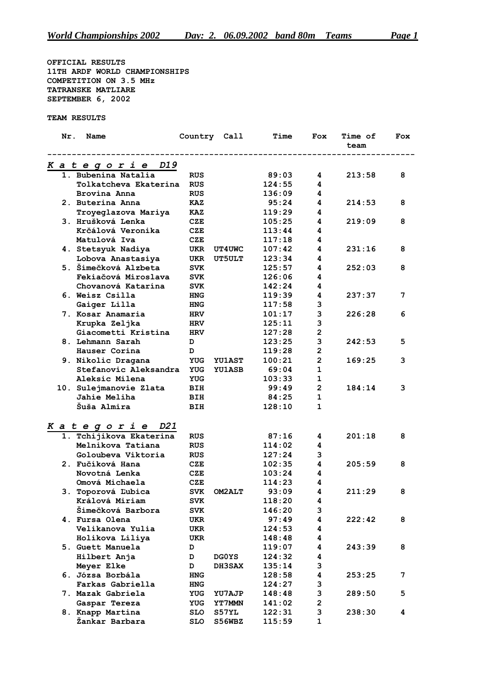**OFFICIAL RESULTS 11TH ARDF WORLD CHAMPIONSHIPS COMPETITION ON 3.5 MHz TATRANSKE MATLIARE SEPTEMBER 6, 2002**

**TEAM RESULTS**

| Nr.<br>Name             | Country Call |               | Time   | Fox                     | <b>Time of</b><br>team | Fox |
|-------------------------|--------------|---------------|--------|-------------------------|------------------------|-----|
| Kategorie D19           |              |               |        |                         |                        |     |
| 1. Bubenina Natalia     | <b>RUS</b>   |               | 89:03  | 4                       | 213:58                 | 8   |
| Tolkatcheva Ekaterina   | <b>RUS</b>   |               | 124:55 | 4                       |                        |     |
| Brovina Anna            | <b>RUS</b>   |               | 136:09 | 4                       |                        |     |
| 2. Buterina Anna        | <b>KAZ</b>   |               | 95:24  | 4                       | 214:53                 | 8   |
| Troyeglazova Mariya     | <b>KAZ</b>   |               | 119:29 | 4                       |                        |     |
| 3. Hrušková Lenka       | CZE          |               | 105:25 | 4                       | 219:09                 | 8   |
| Krčálová Veronika       | CZE          |               | 113:44 | 4                       |                        |     |
| Matulová Iva            | CZE          |               | 117:18 | 4                       |                        |     |
| 4. Stetsyuk Nadiya      | UKR          | <b>UT4UWC</b> | 107:42 | 4                       | 231:16                 | 8   |
| Lobova Anastasiya       | UKR          | <b>UT5ULT</b> | 123:34 | 4                       |                        |     |
| 5. Šimečková Alzbeta    | <b>SVK</b>   |               | 125:57 | 4                       | 252:03                 | 8   |
| Fekiačová Miroslava     | <b>SVK</b>   |               | 126:06 | 4                       |                        |     |
| Chovanová Katarína      | <b>SVK</b>   |               | 142:24 | 4                       |                        |     |
| 6. Weisz Csilla         | <b>HNG</b>   |               | 119:39 | 4                       | 237:37                 | 7   |
| Gaiger Lilla            | <b>HNG</b>   |               | 117:58 | 3                       |                        |     |
| 7. Kosar Anamaria       | <b>HRV</b>   |               | 101:17 | 3                       | 226:28                 | 6   |
| Krupka Zeljka           | <b>HRV</b>   |               | 125:11 | 3                       |                        |     |
| Giacometti Kristina     | <b>HRV</b>   |               | 127:28 | $\overline{\mathbf{2}}$ |                        |     |
| 8. Lehmann Sarah        | D            |               | 123:25 | 3                       | 242:53                 | 5   |
| Hauser Corina           | D            |               | 119:28 | $\overline{\mathbf{c}}$ |                        |     |
| 9. Nikolic Dragana      | <b>YUG</b>   | <b>YU1AST</b> | 100:21 | $\overline{2}$          | 169:25                 | 3   |
| Stefanovic Aleksandra   | YUG          | <b>YU1ASB</b> | 69:04  | 1                       |                        |     |
| Aleksic Milena          | <b>YUG</b>   |               | 103:33 | 1                       |                        |     |
| 10. Sulejmanovie Zlata  | BIH          |               | 99:49  | $\mathbf{2}$            | 184:14                 | 3   |
| Jahie Meliha            | BIH          |               | 84:25  | $\mathbf 1$             |                        |     |
| Šuša Almira             | BIH          |               | 128:10 | 1                       |                        |     |
| Kategorie D21           |              |               |        |                         |                        |     |
| 1. Tchijikova Ekaterina | <b>RUS</b>   |               | 87:16  | 4                       | 201:18                 | 8   |
| Melnikova Tatiana       | <b>RUS</b>   |               | 114:02 | 4                       |                        |     |
| Goloubeva Viktoria      | <b>RUS</b>   |               | 127:24 | 3                       |                        |     |
| 2. Fučíková Hana        | CZE          |               | 102:35 | 4                       | 205:59                 | 8   |
| Novotná Lenka           | CZE          |               | 103:24 | 4                       |                        |     |
| Omová Michaela          | CZE          |               | 114:23 | 4                       |                        |     |
| 3. Toporová Ľubica      | <b>SVK</b>   | <b>OM2ALT</b> | 93:09  | 4                       | 211:29                 | 8   |
| Králová Miriam          | <b>SVK</b>   |               | 118:20 | 4                       |                        |     |
| Šimečková Barbora       | <b>SVK</b>   |               | 146:20 | 3                       |                        |     |
| 4. Fursa Olena          | UKR          |               | 97:49  | 4                       | 222:42                 | 8   |
| Velikanova Yulia        | UKR          |               | 124:53 | 4                       |                        |     |
| Holikova Liliya         | UKR          |               | 148:48 | 4                       |                        |     |
| 5. Guett Manuela        | D            |               | 119:07 | 4                       | 243:39                 | 8   |
| Hilbert Anja            | D            | <b>DGOYS</b>  | 124:32 | 4                       |                        |     |
| Meyer Elke              | D            | <b>DH3SAX</b> | 135:14 | 3                       |                        |     |
| 6. Józsa Borbála        | <b>HNG</b>   |               | 128:58 | 4                       | 253:25                 | 7   |
| Farkas Gabriella        | <b>HNG</b>   |               | 124:27 | 3                       |                        |     |
| 7. Mazak Gabriela       | YUG          | YU7AJP        | 148:48 | 3                       | 289:50                 | 5   |
| Gaspar Tereza           | YUG          | <b>YT7MMN</b> | 141:02 | 2                       |                        |     |
| 8. Knapp Martina        | <b>SLO</b>   | S57YL         | 122:31 | 3                       | 238:30                 | 4   |
| Žankar Barbara          | <b>SLO</b>   | S56WBZ        | 115:59 | $\mathbf{1}$            |                        |     |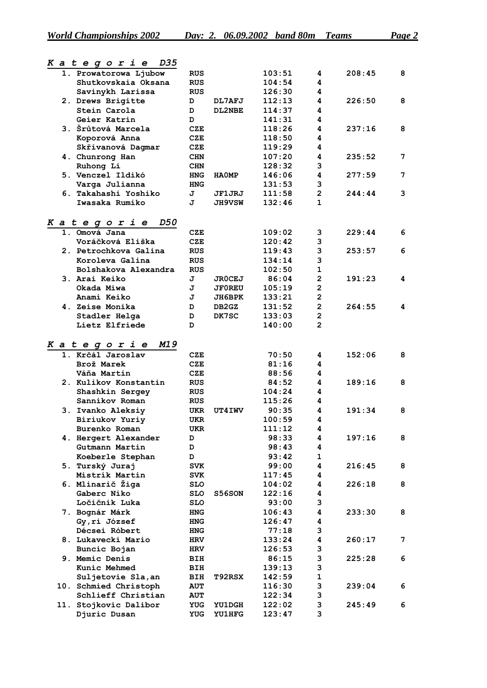|  | Kategorie<br>D35               |            |               |        |                         |        |   |
|--|--------------------------------|------------|---------------|--------|-------------------------|--------|---|
|  | 1. Prowatorowa Ljubow          | <b>RUS</b> |               | 103:51 | 4                       | 208:45 | 8 |
|  | Shutkovskaia Oksana            | <b>RUS</b> |               | 104:54 | 4                       |        |   |
|  | Savinykh Larissa               | <b>RUS</b> |               | 126:30 | 4                       |        |   |
|  | 2. Drews Brigitte              | D          | DL7AFJ        | 112:13 | 4                       | 226:50 | 8 |
|  | Stein Carola                   | D          | DL2NBE        | 114:37 | 4                       |        |   |
|  | Geier Katrin                   | D          |               | 141:31 | 4                       |        |   |
|  | 3. Šrůtová Marcela             | <b>CZE</b> |               | 118:26 | 4                       | 237:16 | 8 |
|  | Koporová Anna                  | <b>CZE</b> |               | 118:50 | 4                       |        |   |
|  | Skřivanová Dagmar              | <b>CZE</b> |               | 119:29 | 4                       |        |   |
|  | 4. Chunrong Han                | <b>CHN</b> |               | 107:20 | 4                       | 235:52 | 7 |
|  |                                | <b>CHN</b> |               | 128:32 | 3                       |        |   |
|  | Ruhong Li<br>5. Venczel Ildikó |            |               | 146:06 | 4                       | 277:59 | 7 |
|  |                                | <b>HNG</b> | <b>HAOMP</b>  |        |                         |        |   |
|  | Varga Julianna                 | <b>HNG</b> |               | 131:53 | 3                       |        |   |
|  | 6. Takahashi Yoshiko           | J          | JF1JRJ        | 111:58 | $\overline{2}$          | 244:44 | 3 |
|  | Iwasaka Rumiko                 | J          | <b>JH9VSW</b> | 132:46 | $\mathbf{1}$            |        |   |
|  | D50<br><i>Kategorie</i>        |            |               |        |                         |        |   |
|  | 1. Omová Jana                  | CZE        |               | 109:02 | 3                       | 229:44 | 6 |
|  | Voráčková Eliška               | <b>CZE</b> |               | 120:42 | 3                       |        |   |
|  | 2. Petrochkova Galina          | <b>RUS</b> |               | 119:43 | 3                       | 253:57 | 6 |
|  | Koroleva Galina                | <b>RUS</b> |               | 134:14 | 3                       |        |   |
|  | Bolshakova Alexandra           | <b>RUS</b> |               | 102:50 | $\mathbf{1}$            |        |   |
|  | 3. Arai Keiko                  | J          | <b>JROCEJ</b> | 86:04  | $\mathbf{2}$            | 191:23 | 4 |
|  | Okada Miwa                     | J          | <b>JF0REU</b> | 105:19 | $\mathbf{2}$            |        |   |
|  | Anami Keiko                    |            |               |        | $\overline{2}$          |        |   |
|  |                                | J          | JH6BPK        | 133:21 |                         |        |   |
|  | 4. Zeise Monika                | D          | DB2GZ         | 131:52 | $\overline{2}$          | 264:55 | 4 |
|  | Stadler Helga                  | D          | DK7SC         | 133:03 | $\overline{2}$          |        |   |
|  | Lietz Elfriede                 | D          |               | 140:00 | $\overline{2}$          |        |   |
|  | M19<br>Kategorie               |            |               |        |                         |        |   |
|  | 1. Krčál Jaroslav              | CZE        |               | 70:50  | 4                       | 152:06 | 8 |
|  | Brož Marek                     | <b>CZE</b> |               | 81:16  | 4                       |        |   |
|  | Váňa Martin                    | <b>CZE</b> |               | 88:56  | 4                       |        |   |
|  |                                |            |               |        | 4                       |        | 8 |
|  | 2. Kulikov Konstantin          | <b>RUS</b> |               | 84:52  |                         | 189:16 |   |
|  | Shashkin Sergey                | <b>RUS</b> |               | 104:24 | 4                       |        |   |
|  | Sannikov Roman                 | <b>RUS</b> |               | 115:26 | 4                       |        |   |
|  | 3. Ivanko Aleksiy              | UKR        | UT4IWV        | 90:35  | 4                       | 191:34 | 8 |
|  | Biriukov Yuriy                 | UKR        |               | 100:59 | 4                       |        |   |
|  | Burenko Roman                  | UKR        |               | 111:12 | 4                       |        |   |
|  | 4. Hergert Alexander           | D          |               | 98:33  | 4                       | 197:16 | 8 |
|  | Gutmann Martin                 | D          |               | 98:43  | 4                       |        |   |
|  | Koeberle Stephan               | D          |               | 93:42  | 1                       |        |   |
|  | 5. Turský Juraj                | <b>SVK</b> |               | 99:00  | $\overline{\mathbf{4}}$ | 216:45 | 8 |
|  | Mistrík Martin                 | <b>SVK</b> |               | 117:45 | 4                       |        |   |
|  | 6. Mlinarič Žiga               | <b>SLO</b> |               | 104:02 | 4                       | 226:18 | 8 |
|  | Gaberc Niko                    | <b>SLO</b> | S56SON        | 122:16 | 4                       |        |   |
|  | Ločičnik Luka                  | <b>SLO</b> |               | 93:00  | 3                       |        |   |
|  | 7. Bognár Márk                 | <b>HNG</b> |               | 106:43 | 4                       | 233:30 | 8 |
|  | Gy, ri József                  | HNG        |               | 126:47 | 4                       |        |   |
|  | Décsei Róbert                  | <b>HNG</b> |               | 77:18  | 3                       |        |   |
|  | 8. Lukavecki Mario             | <b>HRV</b> |               | 133:24 | 4                       | 260:17 | 7 |
|  | Buncic Bojan                   | <b>HRV</b> |               | 126:53 | 3                       |        |   |
|  | 9. Memic Denis                 |            |               | 86:15  | 3                       | 225:28 | 6 |
|  |                                | BIH        |               |        |                         |        |   |
|  | Kunic Mehmed                   | BIH        |               | 139:13 | 3                       |        |   |
|  | Suljetovie Sla, an             | BIH        | T92RSX        | 142:59 | $\mathbf{1}$            |        |   |
|  | 10. Schmied Christoph          | <b>AUT</b> |               | 116:30 | 3                       | 239:04 | 6 |
|  | Schlieff Christian             | <b>AUT</b> |               | 122:34 | 3                       |        |   |
|  | 11. Stojkovic Dalibor          | <b>YUG</b> | <b>YU1DGH</b> | 122:02 | 3                       | 245:49 | 6 |
|  | Djuric Dusan                   | <b>YUG</b> | <b>YU1HFG</b> | 123:47 | 3                       |        |   |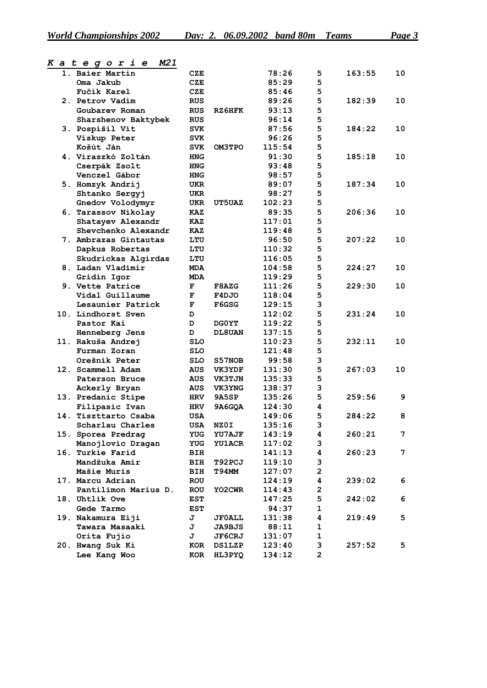| 1. Baier Martin       | CZE        |               | 78:26  | 5                       | 163:55 | 10 |
|-----------------------|------------|---------------|--------|-------------------------|--------|----|
| Oma Jakub             | <b>CZE</b> |               | 85:29  | 5                       |        |    |
| Fučík Karel           | <b>CZE</b> |               | 85:46  | 5                       |        |    |
| 2. Petrov Vadim       | <b>RUS</b> |               | 89:26  | 5                       | 182:39 | 10 |
| Goubarev Roman        | <b>RUS</b> | RZ6HFK        | 93:13  | 5                       |        |    |
| Sharshenov Baktybek   | <b>RUS</b> |               | 96:14  | 5                       |        |    |
| 3. Pospíšil Vít       | <b>SVK</b> |               | 87:56  | 5                       | 184:22 | 10 |
| Viskup Peter          | <b>SVK</b> |               | 96:26  | 5                       |        |    |
| Košút Ján             | <b>SVK</b> | OM3TPO        | 115:54 | 5                       |        |    |
| 4. Viraszkó Zoltán    | <b>HNG</b> |               | 91:30  | 5                       | 185:18 | 10 |
| Cserpák Zsolt         | <b>HNG</b> |               | 93:48  | 5                       |        |    |
| Venczel Gábor         | <b>HNG</b> |               | 98:57  | 5                       |        |    |
| 5. Homzyk Andrij      | UKR        |               | 89:07  | 5                       | 187:34 | 10 |
| Shtanko Sergyj        | UKR        |               | 98:27  | 5                       |        |    |
| Gnedov Volodymyr      | UKR        | <b>UT5UAZ</b> | 102:23 | 5                       |        |    |
| 6. Tarassov Nikolay   | KAZ        |               | 89:35  | 5                       | 206:36 | 10 |
| Shatayev Alexandr     | KAZ        |               | 117:01 | 5                       |        |    |
| Shevchenko Alexandr   | KAZ        |               | 119:48 | 5                       |        |    |
| 7. Ambrazas Gintautas | LTU        |               | 96:50  | 5                       | 207:22 | 10 |
| Dapkus Robertas       | LTU        |               | 110:32 | 5                       |        |    |
| Skudrickas Algirdas   | LTU        |               | 116:05 | 5                       |        |    |
| 8. Ladan Vladimir     | MDA        |               | 104:58 | 5                       | 224:27 | 10 |
| Gridin Igor           | <b>MDA</b> |               | 119:29 | 5                       |        |    |
| 9. Vette Patrice      | F          | <b>F8AZG</b>  | 111:26 | 5                       | 229:30 | 10 |
| Vidal Guillaume       | F          | F4DJO         | 118:04 | 5                       |        |    |
| Lesaunier Patrick     | F          | F6GSG         | 129:15 | 3                       |        |    |
| 10. Lindhorst Sven    | D          |               | 112:02 | 5                       | 231:24 | 10 |
|                       | D          |               |        | 5                       |        |    |
| Pastor Kai            |            | DG0YT         | 119:22 | 5                       |        |    |
| Henneberg Jens        | D          | DL8UAN        | 137:15 |                         |        | 10 |
| 11. Rakuša Andrej     | <b>SLO</b> |               | 110:23 | 5                       | 232:11 |    |
| Furman Zoran          | <b>SLO</b> |               | 121:48 | 5                       |        |    |
| Orešnik Peter         | <b>SLO</b> | S57NOB        | 99:58  | 3                       |        |    |
| 12. Scammell Adam     | <b>AUS</b> | VK3YDF        | 131:30 | 5                       | 267:03 | 10 |
| Paterson Bruce        | <b>AUS</b> | <b>VK3TJN</b> | 135:33 | 5                       |        |    |
| Ackerly Bryan         | <b>AUS</b> | <b>VK3YNG</b> | 138:37 | 3                       |        |    |
| 13. Predanic Stipe    | HRV        | <b>9A5SP</b>  | 135:26 | 5                       | 259:56 | 9  |
| Filipasic Ivan        | <b>HRV</b> | 9A6GQA        | 124:30 | 4                       |        |    |
| 14. Tiszttarto Csaba  | <b>USA</b> |               | 149:06 | 5                       | 284:22 | 8  |
| Scharlau Charles      | USA        | NZ0I          | 135:16 | 3                       |        |    |
| 15. Sporea Predrag    |            | YUG YU7AJF    | 143:19 | 4                       | 260:21 | 7  |
| Manojlovic Dragan     | <b>YUG</b> | <b>YU1ACR</b> | 117:02 | 3                       |        |    |
| 16. Turkie Farid      | <b>BIH</b> |               | 141:13 | 4                       | 260:23 | 7  |
| Mandžuka Amir         | BIH        | T92PCJ        | 119:10 | 3                       |        |    |
| Mašie Muris           | BIH        | <b>T94MM</b>  | 127:07 | $\overline{\mathbf{c}}$ |        |    |
| 17. Marcu Adrian      | <b>ROU</b> |               | 124:19 | 4                       | 239:02 | 6  |
| Pantilimon Marius D.  | <b>ROU</b> | YO2CWR        | 114:43 | 2                       |        |    |
| 18. Uhtlik Ove        | EST        |               | 147:25 | 5                       | 242:02 | 6  |
| Gede Tarmo            | <b>EST</b> |               | 94:37  | $\mathbf{1}$            |        |    |
| 19. Nakamura Eiji     | J          | <b>JFOALL</b> | 131:38 | 4                       | 219:49 | 5  |
| Tawara Masaaki        | J          | <b>JA9BJS</b> | 88:11  | $\mathbf{1}$            |        |    |
| Orita Fujio           | J          | <b>JF6CRJ</b> | 131:07 | 1                       |        |    |
| 20. Hwang Suk Ki      | KOR        | <b>DS1LZP</b> | 123:40 | 3                       | 257:52 | 5  |
| Lee Kang Woo          | KOR        | HL3PYQ        | 134:12 | 2                       |        |    |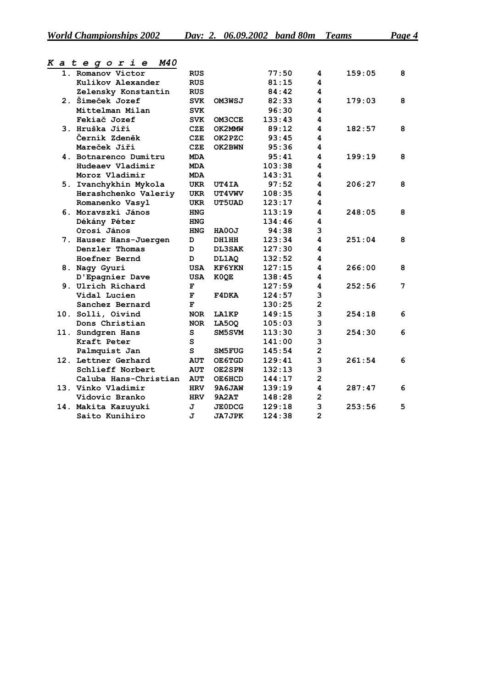| 1. Romanov Victor      | <b>RUS</b> |               | 77:50  | 4                       | 159:05 | 8 |
|------------------------|------------|---------------|--------|-------------------------|--------|---|
| Kulikov Alexander      | <b>RUS</b> |               | 81:15  | 4                       |        |   |
| Zelensky Konstantin    | <b>RUS</b> |               | 84:42  | 4                       |        |   |
| 2. Šimeček Jozef       | <b>SVK</b> | OM3WSJ        | 82:33  | 4                       | 179:03 | 8 |
| Mittelman Milan        | <b>SVK</b> |               | 96:30  | 4                       |        |   |
| Fekiač Jozef           | <b>SVK</b> | OM3CCE        | 133:43 | 4                       |        |   |
| 3. Hruška Jiří         | CZE        | OK2MMW        | 89:12  | 4                       | 182:57 | 8 |
| Černík Zdeněk          | <b>CZE</b> | OK2PZC        | 93:45  | 4                       |        |   |
| Mareček Jiří           | <b>CZE</b> | OK2BWN        | 95:36  | 4                       |        |   |
| 4. Botnarenco Dumitru  | <b>MDA</b> |               | 95:41  | 4                       | 199:19 | 8 |
| Hudeaev Vladimir       | <b>MDA</b> |               | 103:38 | 4                       |        |   |
| Moroz Vladimir         | <b>MDA</b> |               | 143:31 | 4                       |        |   |
| 5. Ivanchykhin Mykola  | UKR        | <b>UT4IA</b>  | 97:52  | 4                       | 206:27 | 8 |
| Herashchenko Valeriy   | <b>UKR</b> | UT4VWV        | 108:35 | 4                       |        |   |
| Romanenko Vasyl        | <b>UKR</b> | UT5UAD        | 123:17 | 4                       |        |   |
| 6. Moravszki János     | <b>HNG</b> |               | 113:19 | 4                       | 248:05 | 8 |
| Dékány Péter           | <b>HNG</b> |               | 134:46 | 4                       |        |   |
| Orosi János            | <b>HNG</b> | HA0OJ         | 94:38  | 3                       |        |   |
| 7. Hauser Hans-Juergen | D          | DH1HH         | 123:34 | 4                       | 251:04 | 8 |
| Denzler Thomas         | D          | <b>DL3SAK</b> | 127:30 | 4                       |        |   |
| Hoefner Bernd          | D          | DL1AQ         | 132:52 | 4                       |        |   |
| 8. Nagy Gyuri          | <b>USA</b> | <b>KF6YKN</b> | 127:15 | 4                       | 266:00 | 8 |
| D'Epagnier Dave        | <b>USA</b> | K0QE          | 138:45 | 4                       |        |   |
| 9. Ulrich Richard      | F          |               | 127:59 | 4                       | 252:56 | 7 |
| Vidal Lucien           | F          | F4DKA         | 124:57 | 3                       |        |   |
| Sanchez Bernard        | F          |               | 130:25 | $\overline{\mathbf{c}}$ |        |   |
| 10. Solli, Oivind      | <b>NOR</b> | <b>LA1KP</b>  | 149:15 | 3                       | 254:18 | 6 |
| Dons Christian         | <b>NOR</b> | <b>LA500</b>  | 105:03 | 3                       |        |   |
| 11. Sundgren Hans      | S          | SM5SVM        | 113:30 | 3                       | 254:30 | 6 |
| Kraft Peter            | s          |               | 141:00 | 3                       |        |   |
| Palmquist Jan          | s          | SM5FUG        | 145:54 | $\overline{\mathbf{c}}$ |        |   |
| 12. Lettner Gerhard    | <b>AUT</b> | OE6TGD        | 129:41 | 3                       | 261:54 | 6 |
| Schlieff Norbert       | <b>AUT</b> | OE2SPN        | 132:13 | 3                       |        |   |
| Caluba Hans-Christian  | <b>AUT</b> | OE6HCD        | 144:17 | $\overline{2}$          |        |   |
| 13. Vinko Vladimir     | <b>HRV</b> | 9A6JAW        | 139:19 | 4                       | 287:47 | 6 |
| Vidovic Branko         | <b>HRV</b> | 9A2AT         | 148:28 | $\overline{\mathbf{2}}$ |        |   |
| 14. Makita Kazuyuki    | J          | <b>JE0DCG</b> | 129:18 | 3                       | 253:56 | 5 |
| Saito Kunihiro         | J          | <b>JA7JPK</b> | 124:38 | $\overline{2}$          |        |   |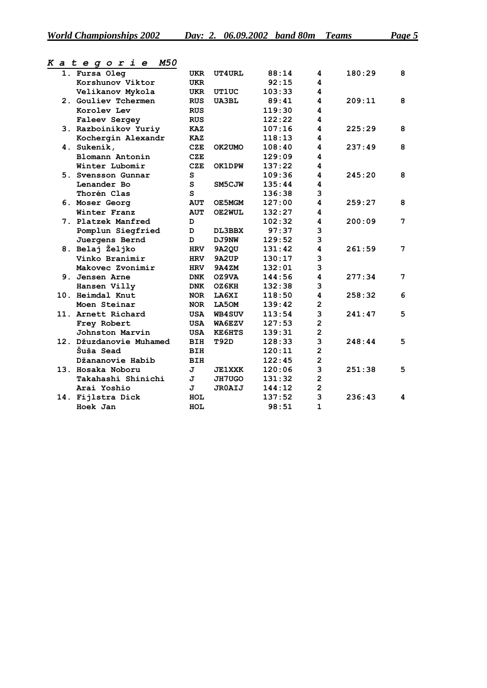| 1. Fursa Oleg           | UKR        | <b>UT4URL</b> | 88:14  | 4              | 180:29 | 8 |
|-------------------------|------------|---------------|--------|----------------|--------|---|
| Korshunov Viktor        | <b>UKR</b> |               | 92:15  | 4              |        |   |
| Velikanov Mykola        | UKR        | UT1UC         | 103:33 | 4              |        |   |
| 2. Gouliev Tchermen     | <b>RUS</b> | <b>UA3BL</b>  | 89:41  | 4              | 209:11 | 8 |
| Korolev Lev             | <b>RUS</b> |               | 119:30 | 4              |        |   |
| <b>Faleev Sergey</b>    | <b>RUS</b> |               | 122:22 | 4              |        |   |
| 3. Razboinikov Yuriy    | KAZ        |               | 107:16 | 4              | 225:29 | 8 |
| Kochergin Alexandr      | KAZ        |               | 118:13 | 4              |        |   |
| 4. Sukeník,             | CZE        | OK2UMO        | 108:40 | 4              | 237:49 | 8 |
| Blomann Antonín         | <b>CZE</b> |               | 129:09 | 4              |        |   |
| Winter Lubomír          | <b>CZE</b> | OK1DPW        | 137:22 | 4              |        |   |
| 5. Svensson Gunnar      | S          |               | 109:36 | 4              | 245:20 | 8 |
| Lenander Bo             | S          | SM5CJW        | 135:44 | 4              |        |   |
| Thorén Clas             | S          |               | 136:38 | 3              |        |   |
| 6. Moser Georg          | <b>AUT</b> | OE5MGM        | 127:00 | 4              | 259:27 | 8 |
| Winter Franz            | <b>AUT</b> | OE2WUL        | 132:27 | 4              |        |   |
| 7. Platzek Manfred      | D          |               | 102:32 | 4              | 200:09 | 7 |
| Pomplun Siegfried       | D          | DL3BBX        | 97:37  | 3              |        |   |
| Juergens Bernd          | D          | DJ9NW         | 129:52 | 3              |        |   |
| 8. Belaj Željko         | <b>HRV</b> | 9A2QU         | 131:42 | 4              | 261:59 | 7 |
| Vinko Branimir          | <b>HRV</b> | 9A2UP         | 130:17 | 3              |        |   |
| Makovec Zvonimir        | <b>HRV</b> | <b>9A4ZM</b>  | 132:01 | 3              |        |   |
| 9. Jensen Arne          | <b>DNK</b> | OZ9VA         | 144:56 | 4              | 277:34 | 7 |
| Hansen Villy            | <b>DNK</b> | OZ6KH         | 132:38 | 3              |        |   |
| 10. Heimdal Knut        | <b>NOR</b> | <b>LA6XI</b>  | 118:50 | 4              | 258:32 | 6 |
| Moen Steinar            | <b>NOR</b> | LA50M         | 139:42 | $\overline{2}$ |        |   |
| 11. Arnett Richard      | USA        | <b>WB4SUV</b> | 113:54 | 3              | 241:47 | 5 |
| Frey Robert             | USA        | WA6EZV        | 127:53 | $\overline{2}$ |        |   |
| Johnston Marvin         | USA        | <b>KE6HTS</b> | 139:31 | $\mathbf{2}$   |        |   |
| 12. Džuzdanovie Muhamed | <b>BIH</b> | T92D          | 128:33 | 3              | 248:44 | 5 |
| Šuša Sead               | <b>BIH</b> |               | 120:11 | $\mathbf{2}$   |        |   |
| Džananovie Habib        | <b>BIH</b> |               | 122:45 | $\overline{2}$ |        |   |
| 13. Hosaka Noboru       | J          | <b>JE1XXK</b> | 120:06 | 3              | 251:38 | 5 |
| Takahashi Shinichi      | J          | JH7UGO        | 131:32 | $\overline{2}$ |        |   |
| Arai Yoshio             | J          | <b>JROAIJ</b> | 144:12 | $\mathbf{2}$   |        |   |
| 14. Fijlstra Dick       | HOL        |               | 137:52 | 3              | 236:43 | 4 |
| Hoek Jan                | HOL        |               | 98:51  | $\mathbf{1}$   |        |   |
|                         |            |               |        |                |        |   |